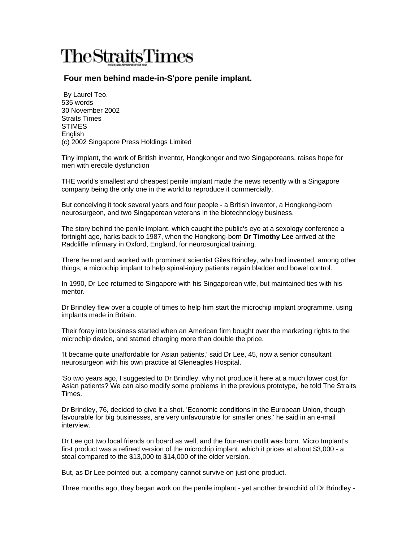## **TheStraitsTimes**

## **Four men behind made-in-S'pore penile implant.**

 By Laurel Teo. 535 words 30 November 2002 Straits Times **STIMES** English (c) 2002 Singapore Press Holdings Limited

Tiny implant, the work of British inventor, Hongkonger and two Singaporeans, raises hope for men with erectile dysfunction

THE world's smallest and cheapest penile implant made the news recently with a Singapore company being the only one in the world to reproduce it commercially.

But conceiving it took several years and four people - a British inventor, a Hongkong-born neurosurgeon, and two Singaporean veterans in the biotechnology business.

The story behind the penile implant, which caught the public's eye at a sexology conference a fortnight ago, harks back to 1987, when the Hongkong-born **Dr Timothy Lee** arrived at the Radcliffe Infirmary in Oxford, England, for neurosurgical training.

There he met and worked with prominent scientist Giles Brindley, who had invented, among other things, a microchip implant to help spinal-injury patients regain bladder and bowel control.

In 1990, Dr Lee returned to Singapore with his Singaporean wife, but maintained ties with his mentor.

Dr Brindley flew over a couple of times to help him start the microchip implant programme, using implants made in Britain.

Their foray into business started when an American firm bought over the marketing rights to the microchip device, and started charging more than double the price.

'It became quite unaffordable for Asian patients,' said Dr Lee, 45, now a senior consultant neurosurgeon with his own practice at Gleneagles Hospital.

'So two years ago, I suggested to Dr Brindley, why not produce it here at a much lower cost for Asian patients? We can also modify some problems in the previous prototype,' he told The Straits Times.

Dr Brindley, 76, decided to give it a shot. 'Economic conditions in the European Union, though favourable for big businesses, are very unfavourable for smaller ones,' he said in an e-mail interview.

Dr Lee got two local friends on board as well, and the four-man outfit was born. Micro Implant's first product was a refined version of the microchip implant, which it prices at about \$3,000 - a steal compared to the \$13,000 to \$14,000 of the older version.

But, as Dr Lee pointed out, a company cannot survive on just one product.

Three months ago, they began work on the penile implant - yet another brainchild of Dr Brindley -